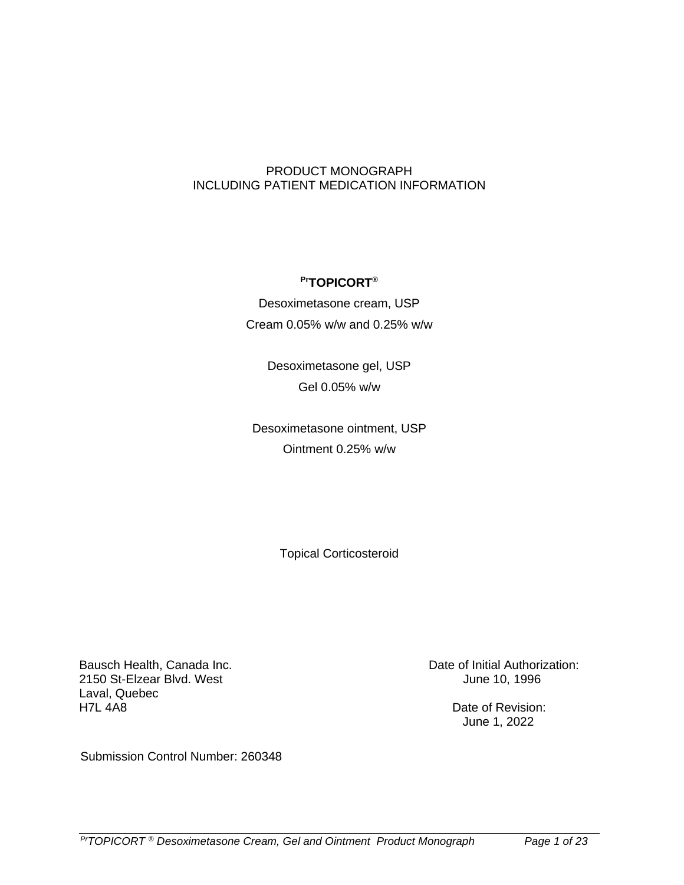### PRODUCT MONOGRAPH INCLUDING PATIENT MEDICATION INFORMATION

### **PrTOPICORT®**

Desoximetasone cream, USP Cream 0.05% w/w and 0.25% w/w

> Desoximetasone gel, USP Gel 0.05% w/w

Desoximetasone ointment, USP Ointment 0.25% w/w

Topical Corticosteroid

Bausch Health, Canada Inc. 2150 St-Elzear Blvd. West Laval, Quebec H7L 4A8

Date of Initial Authorization: June 10, 1996

> Date of Revision: June 1, 2022

Submission Control Number: 260348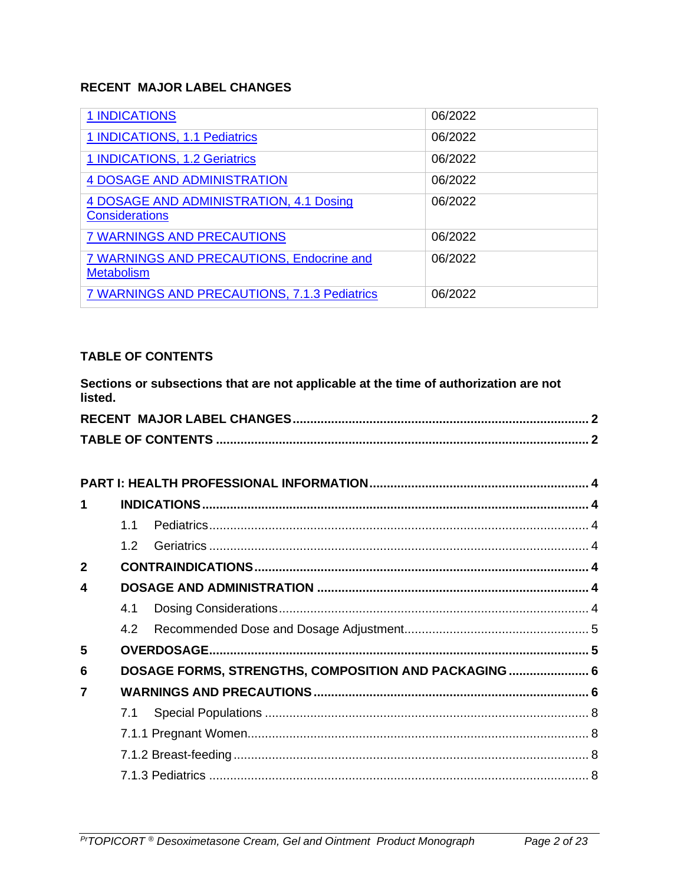# <span id="page-1-0"></span>**RECENT MAJOR LABEL CHANGES**

| <b>1 INDICATIONS</b>                                             | 06/2022 |
|------------------------------------------------------------------|---------|
| 1 INDICATIONS, 1.1 Pediatrics                                    | 06/2022 |
| 1 INDICATIONS, 1.2 Geriatrics                                    | 06/2022 |
| <b>4 DOSAGE AND ADMINISTRATION</b>                               | 06/2022 |
| 4 DOSAGE AND ADMINISTRATION, 4.1 Dosing<br><b>Considerations</b> | 06/2022 |
| <b>7 WARNINGS AND PRECAUTIONS</b>                                | 06/2022 |
| 7 WARNINGS AND PRECAUTIONS, Endocrine and<br><b>Metabolism</b>   | 06/2022 |
| 7 WARNINGS AND PRECAUTIONS, 7.1.3 Pediatrics                     | 06/2022 |

# <span id="page-1-1"></span>**TABLE OF CONTENTS**

| listed.        |     | Sections or subsections that are not applicable at the time of authorization are not |  |
|----------------|-----|--------------------------------------------------------------------------------------|--|
|                |     |                                                                                      |  |
|                |     |                                                                                      |  |
|                |     |                                                                                      |  |
|                |     |                                                                                      |  |
| 1              |     |                                                                                      |  |
|                | 1.1 |                                                                                      |  |
|                | 1.2 |                                                                                      |  |
| $\overline{2}$ |     |                                                                                      |  |
| 4              |     |                                                                                      |  |
|                | 4.1 |                                                                                      |  |
|                | 4.2 |                                                                                      |  |
| 5              |     |                                                                                      |  |
| 6              |     | DOSAGE FORMS, STRENGTHS, COMPOSITION AND PACKAGING  6                                |  |
| $\overline{7}$ |     |                                                                                      |  |
|                | 7.1 |                                                                                      |  |
|                |     |                                                                                      |  |
|                |     |                                                                                      |  |
|                |     |                                                                                      |  |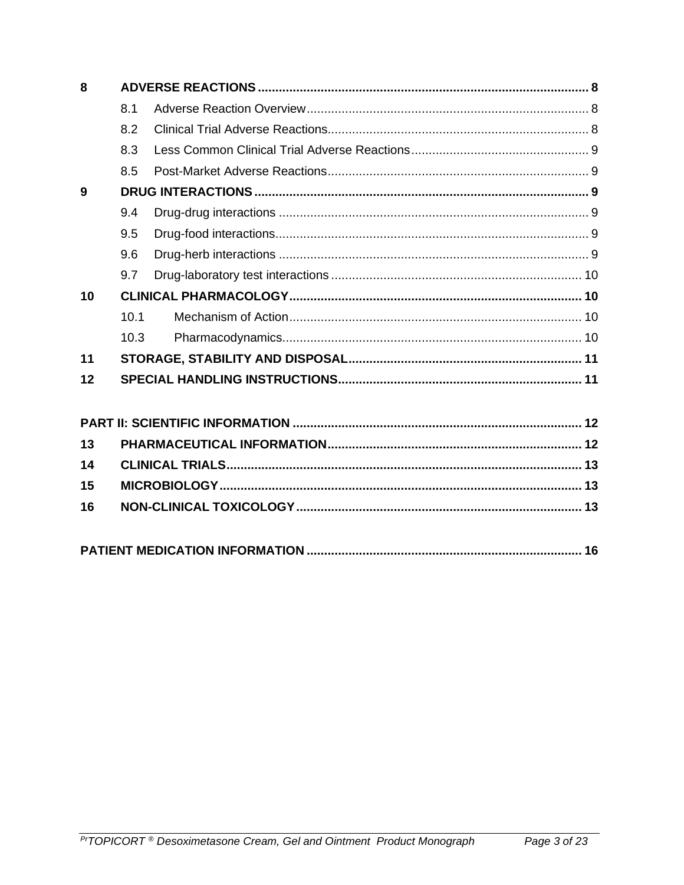| 8  |      |  |  |
|----|------|--|--|
|    | 8.1  |  |  |
|    | 8.2  |  |  |
|    | 8.3  |  |  |
|    | 8.5  |  |  |
| 9  |      |  |  |
|    | 9.4  |  |  |
|    | 9.5  |  |  |
|    | 9.6  |  |  |
|    | 9.7  |  |  |
| 10 |      |  |  |
|    | 10.1 |  |  |
|    | 10.3 |  |  |
| 11 |      |  |  |
| 12 |      |  |  |
|    |      |  |  |
|    |      |  |  |
| 13 |      |  |  |
| 14 |      |  |  |
| 15 |      |  |  |

16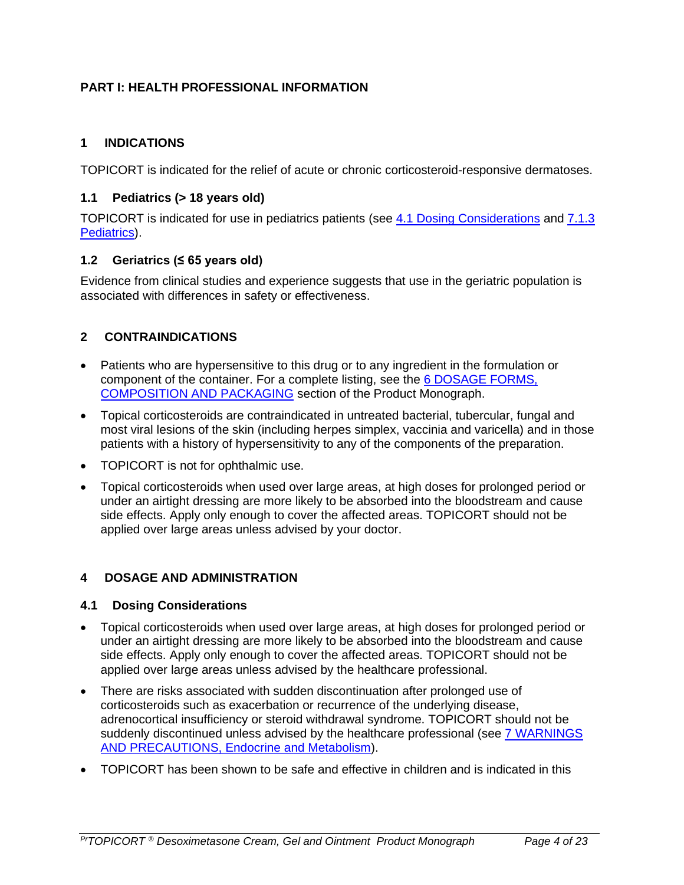# <span id="page-3-5"></span>**PART I: HEALTH PROFESSIONAL INFORMATION**

# <span id="page-3-0"></span>**1 INDICATIONS**

TOPICORT is indicated for the relief of acute or chronic corticosteroid-responsive dermatoses.

### <span id="page-3-1"></span>**1.1 Pediatrics (> 18 years old)**

TOPICORT is indicated for use in pediatrics patients (see [4.1 Dosing Considerations](#page-3-4) and [7.1.3](#page-7-0)  [Pediatrics\)](#page-7-0).

### <span id="page-3-2"></span>**1.2 Geriatrics (≤ 65 years old)**

Evidence from clinical studies and experience suggests that use in the geriatric population is associated with differences in safety or effectiveness.

# <span id="page-3-6"></span>**2 CONTRAINDICATIONS**

- Patients who are hypersensitive to this drug or to any ingredient in the formulation or component of the container. For a complete listing, see the [6 DOSAGE FORMS,](#page-4-2)  [COMPOSITION AND PACKAGING](#page-4-2) section of the Product Monograph.
- Topical corticosteroids are contraindicated in untreated bacterial, tubercular, fungal and most viral lesions of the skin (including herpes simplex, vaccinia and varicella) and in those patients with a history of hypersensitivity to any of the components of the preparation.
- TOPICORT is not for ophthalmic use.
- Topical corticosteroids when used over large areas, at high doses for prolonged period or under an airtight dressing are more likely to be absorbed into the bloodstream and cause side effects. Apply only enough to cover the affected areas. TOPICORT should not be applied over large areas unless advised by your doctor.

# <span id="page-3-3"></span>**4 DOSAGE AND ADMINISTRATION**

#### <span id="page-3-4"></span>**4.1 Dosing Considerations**

- Topical corticosteroids when used over large areas, at high doses for prolonged period or under an airtight dressing are more likely to be absorbed into the bloodstream and cause side effects. Apply only enough to cover the affected areas. TOPICORT should not be applied over large areas unless advised by the healthcare professional.
- There are risks associated with sudden discontinuation after prolonged use of corticosteroids such as exacerbation or recurrence of the underlying disease, adrenocortical insufficiency or steroid withdrawal syndrome. TOPICORT should not be suddenly discontinued unless advised by the healthcare professional (see 7 WARNINGS AND PRECAUTIONS, Endocrine and Metabolism).
- TOPICORT has been shown to be safe and effective in children and is indicated in this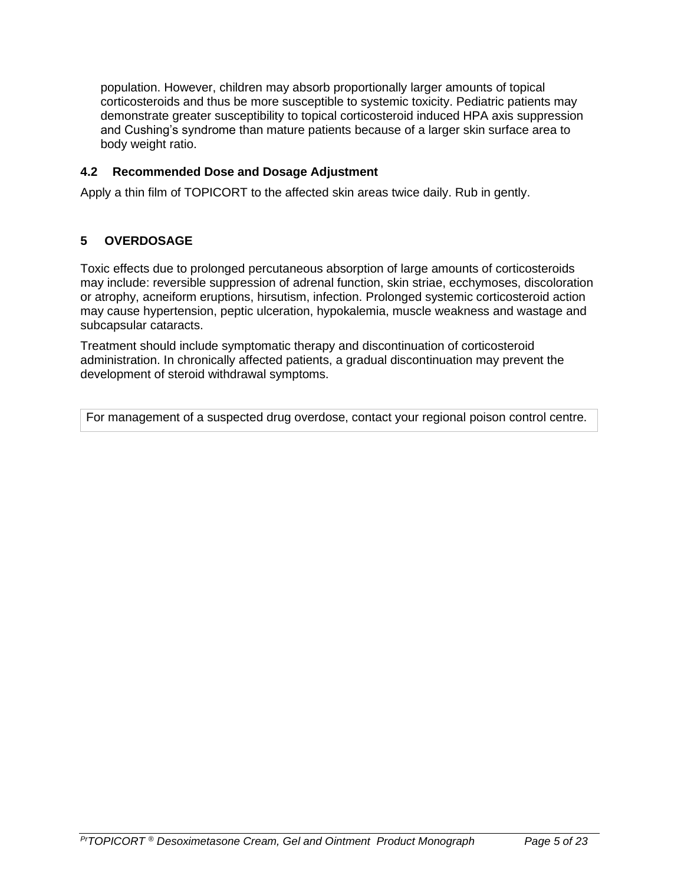population. However, children may absorb proportionally larger amounts of topical corticosteroids and thus be more susceptible to systemic toxicity. Pediatric patients may demonstrate greater susceptibility to topical corticosteroid induced HPA axis suppression and Cushing's syndrome than mature patients because of a larger skin surface area to body weight ratio.

### <span id="page-4-0"></span>**4.2 Recommended Dose and Dosage Adjustment**

Apply a thin film of TOPICORT to the affected skin areas twice daily. Rub in gently.

# <span id="page-4-1"></span>**5 OVERDOSAGE**

Toxic effects due to prolonged percutaneous absorption of large amounts of corticosteroids may include: reversible suppression of adrenal function, skin striae, ecchymoses, discoloration or atrophy, acneiform eruptions, hirsutism, infection. Prolonged systemic corticosteroid action may cause hypertension, peptic ulceration, hypokalemia, muscle weakness and wastage and subcapsular cataracts.

Treatment should include symptomatic therapy and discontinuation of corticosteroid administration. In chronically affected patients, a gradual discontinuation may prevent the development of steroid withdrawal symptoms.

<span id="page-4-2"></span>For management of a suspected drug overdose, contact your regional poison control centre.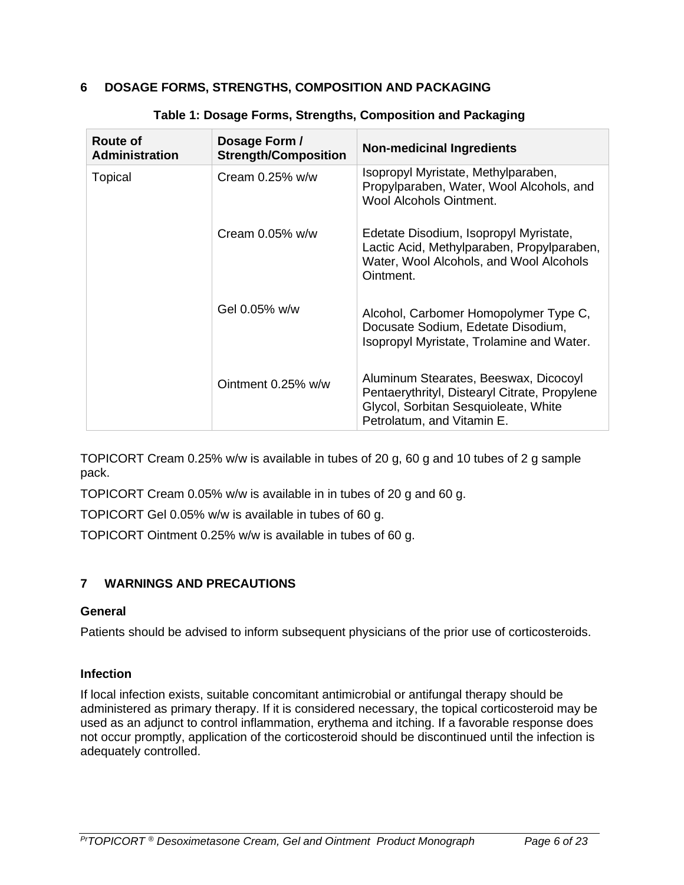# <span id="page-5-1"></span>**6 DOSAGE FORMS, STRENGTHS, COMPOSITION AND PACKAGING**

| Route of<br><b>Administration</b> | Dosage Form /<br><b>Strength/Composition</b> | <b>Non-medicinal Ingredients</b>                                                                                                                             |
|-----------------------------------|----------------------------------------------|--------------------------------------------------------------------------------------------------------------------------------------------------------------|
| Topical                           | Cream $0.25\%$ w/w                           | Isopropyl Myristate, Methylparaben,<br>Propylparaben, Water, Wool Alcohols, and<br><b>Wool Alcohols Ointment.</b>                                            |
|                                   | Cream $0.05\%$ w/w                           | Edetate Disodium, Isopropyl Myristate,<br>Lactic Acid, Methylparaben, Propylparaben,<br>Water, Wool Alcohols, and Wool Alcohols<br>Ointment.                 |
|                                   | Gel 0.05% w/w                                | Alcohol, Carbomer Homopolymer Type C,<br>Docusate Sodium, Edetate Disodium,<br>Isopropyl Myristate, Trolamine and Water.                                     |
|                                   | Ointment 0.25% w/w                           | Aluminum Stearates, Beeswax, Dicocoyl<br>Pentaerythrityl, Distearyl Citrate, Propylene<br>Glycol, Sorbitan Sesquioleate, White<br>Petrolatum, and Vitamin E. |

### **Table 1: Dosage Forms, Strengths, Composition and Packaging**

TOPICORT Cream 0.25% w/w is available in tubes of 20 g, 60 g and 10 tubes of 2 g sample pack.

TOPICORT Cream 0.05% w/w is available in in tubes of 20 g and 60 g.

TOPICORT Gel 0.05% w/w is available in tubes of 60 g.

TOPICORT Ointment 0.25% w/w is available in tubes of 60 g.

# <span id="page-5-0"></span>**7 WARNINGS AND PRECAUTIONS**

#### **General**

Patients should be advised to inform subsequent physicians of the prior use of corticosteroids.

#### **Infection**

If local infection exists, suitable concomitant antimicrobial or antifungal therapy should be administered as primary therapy. If it is considered necessary, the topical corticosteroid may be used as an adjunct to control inflammation, erythema and itching. If a favorable response does not occur promptly, application of the corticosteroid should be discontinued until the infection is adequately controlled.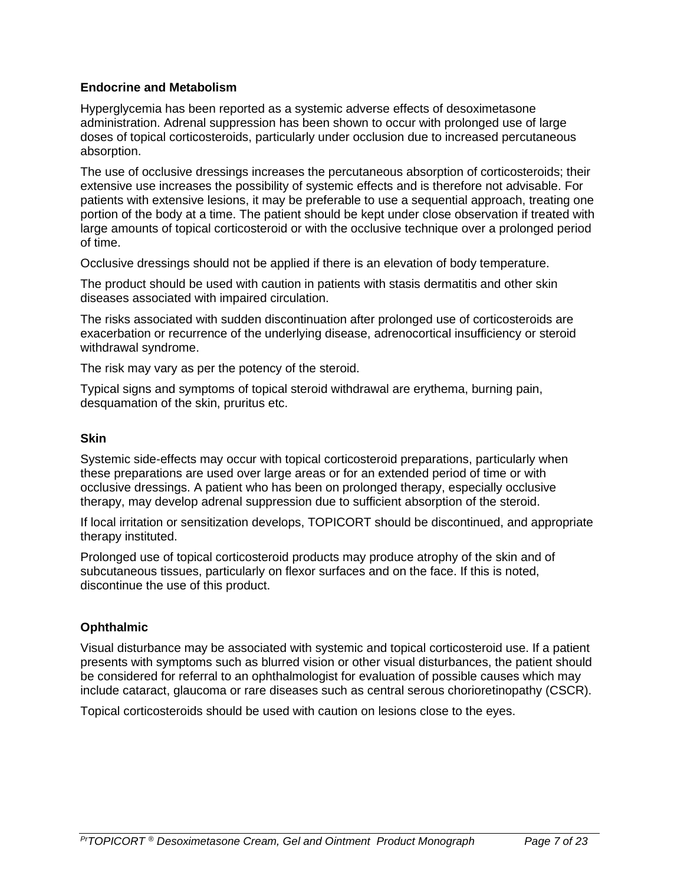### **Endocrine and Metabolism**

Hyperglycemia has been reported as a systemic adverse effects of desoximetasone administration. Adrenal suppression has been shown to occur with prolonged use of large doses of topical corticosteroids, particularly under occlusion due to increased percutaneous absorption.

The use of occlusive dressings increases the percutaneous absorption of corticosteroids; their extensive use increases the possibility of systemic effects and is therefore not advisable. For patients with extensive lesions, it may be preferable to use a sequential approach, treating one portion of the body at a time. The patient should be kept under close observation if treated with large amounts of topical corticosteroid or with the occlusive technique over a prolonged period of time.

Occlusive dressings should not be applied if there is an elevation of body temperature.

The product should be used with caution in patients with stasis dermatitis and other skin diseases associated with impaired circulation.

The risks associated with sudden discontinuation after prolonged use of corticosteroids are exacerbation or recurrence of the underlying disease, adrenocortical insufficiency or steroid withdrawal syndrome.

The risk may vary as per the potency of the steroid.

Typical signs and symptoms of topical steroid withdrawal are erythema, burning pain, desquamation of the skin, pruritus etc.

#### **Skin**

Systemic side-effects may occur with topical corticosteroid preparations, particularly when these preparations are used over large areas or for an extended period of time or with occlusive dressings. A patient who has been on prolonged therapy, especially occlusive therapy, may develop adrenal suppression due to sufficient absorption of the steroid.

If local irritation or sensitization develops, TOPICORT should be discontinued, and appropriate therapy instituted.

Prolonged use of topical corticosteroid products may produce atrophy of the skin and of subcutaneous tissues, particularly on flexor surfaces and on the face. If this is noted, discontinue the use of this product.

#### **Ophthalmic**

Visual disturbance may be associated with systemic and topical corticosteroid use. If a patient presents with symptoms such as blurred vision or other visual disturbances, the patient should be considered for referral to an ophthalmologist for evaluation of possible causes which may include cataract, glaucoma or rare diseases such as central serous chorioretinopathy (CSCR).

Topical corticosteroids should be used with caution on lesions close to the eyes.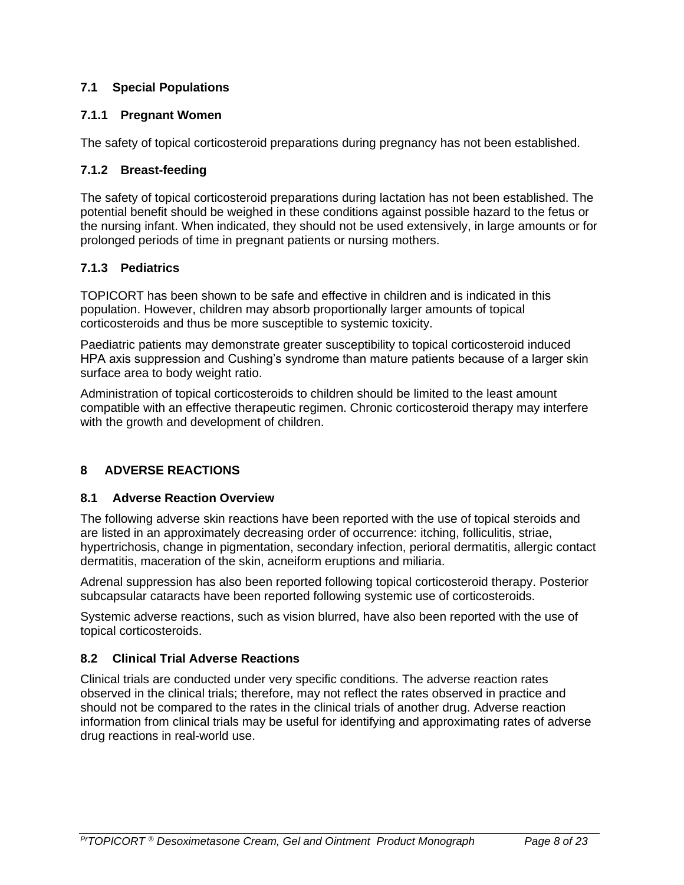# <span id="page-7-1"></span>**7.1 Special Populations**

# <span id="page-7-2"></span>**7.1.1 Pregnant Women**

The safety of topical corticosteroid preparations during pregnancy has not been established.

# <span id="page-7-3"></span>**7.1.2 Breast-feeding**

The safety of topical corticosteroid preparations during lactation has not been established. The potential benefit should be weighed in these conditions against possible hazard to the fetus or the nursing infant. When indicated, they should not be used extensively, in large amounts or for prolonged periods of time in pregnant patients or nursing mothers.

# <span id="page-7-0"></span>**7.1.3 Pediatrics**

TOPICORT has been shown to be safe and effective in children and is indicated in this population. However, children may absorb proportionally larger amounts of topical corticosteroids and thus be more susceptible to systemic toxicity.

Paediatric patients may demonstrate greater susceptibility to topical corticosteroid induced HPA axis suppression and Cushing's syndrome than mature patients because of a larger skin surface area to body weight ratio.

Administration of topical corticosteroids to children should be limited to the least amount compatible with an effective therapeutic regimen. Chronic corticosteroid therapy may interfere with the growth and development of children.

# <span id="page-7-4"></span>**8 ADVERSE REACTIONS**

# <span id="page-7-5"></span>**8.1 Adverse Reaction Overview**

The following adverse skin reactions have been reported with the use of topical steroids and are listed in an approximately decreasing order of occurrence: itching, folliculitis, striae, hypertrichosis, change in pigmentation, secondary infection, perioral dermatitis, allergic contact dermatitis, maceration of the skin, acneiform eruptions and miliaria.

Adrenal suppression has also been reported following topical corticosteroid therapy. Posterior subcapsular cataracts have been reported following systemic use of corticosteroids.

Systemic adverse reactions, such as vision blurred, have also been reported with the use of topical corticosteroids.

# <span id="page-7-6"></span>**8.2 Clinical Trial Adverse Reactions**

Clinical trials are conducted under very specific conditions. The adverse reaction rates observed in the clinical trials; therefore, may not reflect the rates observed in practice and should not be compared to the rates in the clinical trials of another drug. Adverse reaction information from clinical trials may be useful for identifying and approximating rates of adverse drug reactions in real-world use.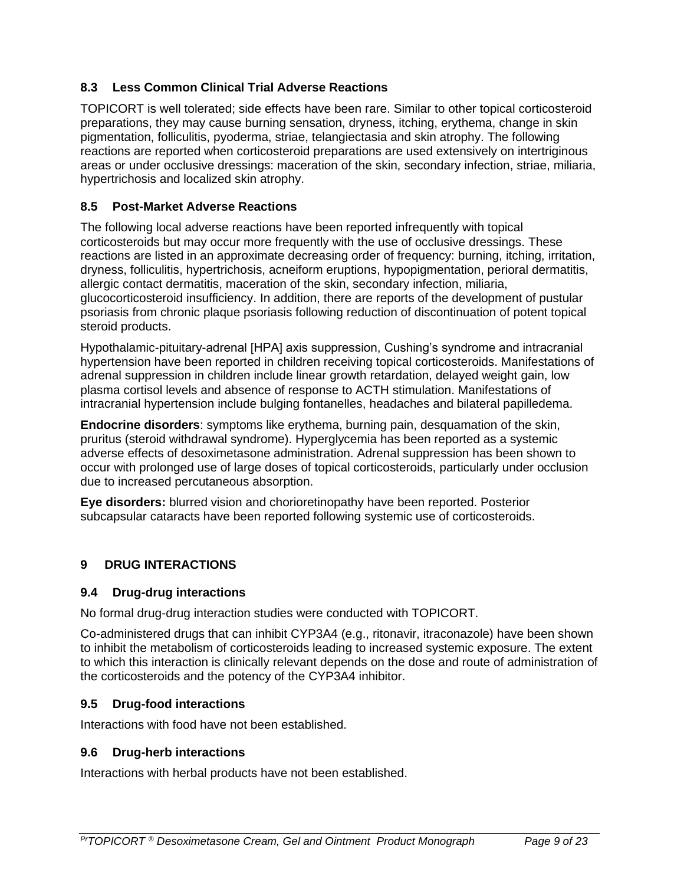# <span id="page-8-0"></span>**8.3 Less Common Clinical Trial Adverse Reactions**

TOPICORT is well tolerated; side effects have been rare. Similar to other topical corticosteroid preparations, they may cause burning sensation, dryness, itching, erythema, change in skin pigmentation, folliculitis, pyoderma, striae, telangiectasia and skin atrophy. The following reactions are reported when corticosteroid preparations are used extensively on intertriginous areas or under occlusive dressings: maceration of the skin, secondary infection, striae, miliaria, hypertrichosis and localized skin atrophy.

# <span id="page-8-1"></span>**8.5 Post-Market Adverse Reactions**

The following local adverse reactions have been reported infrequently with topical corticosteroids but may occur more frequently with the use of occlusive dressings. These reactions are listed in an approximate decreasing order of frequency: burning, itching, irritation, dryness, folliculitis, hypertrichosis, acneiform eruptions, hypopigmentation, perioral dermatitis, allergic contact dermatitis, maceration of the skin, secondary infection, miliaria, glucocorticosteroid insufficiency. In addition, there are reports of the development of pustular psoriasis from chronic plaque psoriasis following reduction of discontinuation of potent topical steroid products.

Hypothalamic-pituitary-adrenal [HPA] axis suppression, Cushing's syndrome and intracranial hypertension have been reported in children receiving topical corticosteroids. Manifestations of adrenal suppression in children include linear growth retardation, delayed weight gain, low plasma cortisol levels and absence of response to ACTH stimulation. Manifestations of intracranial hypertension include bulging fontanelles, headaches and bilateral papilledema.

**Endocrine disorders**: symptoms like erythema, burning pain, desquamation of the skin, pruritus (steroid withdrawal syndrome). Hyperglycemia has been reported as a systemic adverse effects of desoximetasone administration. Adrenal suppression has been shown to occur with prolonged use of large doses of topical corticosteroids, particularly under occlusion due to increased percutaneous absorption.

**Eye disorders:** blurred vision and chorioretinopathy have been reported. Posterior subcapsular cataracts have been reported following systemic use of corticosteroids.

# <span id="page-8-2"></span>**9 DRUG INTERACTIONS**

# <span id="page-8-3"></span>**9.4 Drug-drug interactions**

No formal drug-drug interaction studies were conducted with TOPICORT.

Co-administered drugs that can inhibit CYP3A4 (e.g., ritonavir, itraconazole) have been shown to inhibit the metabolism of corticosteroids leading to increased systemic exposure. The extent to which this interaction is clinically relevant depends on the dose and route of administration of the corticosteroids and the potency of the CYP3A4 inhibitor.

# <span id="page-8-4"></span>**9.5 Drug-food interactions**

Interactions with food have not been established.

# <span id="page-8-5"></span>**9.6 Drug-herb interactions**

Interactions with herbal products have not been established.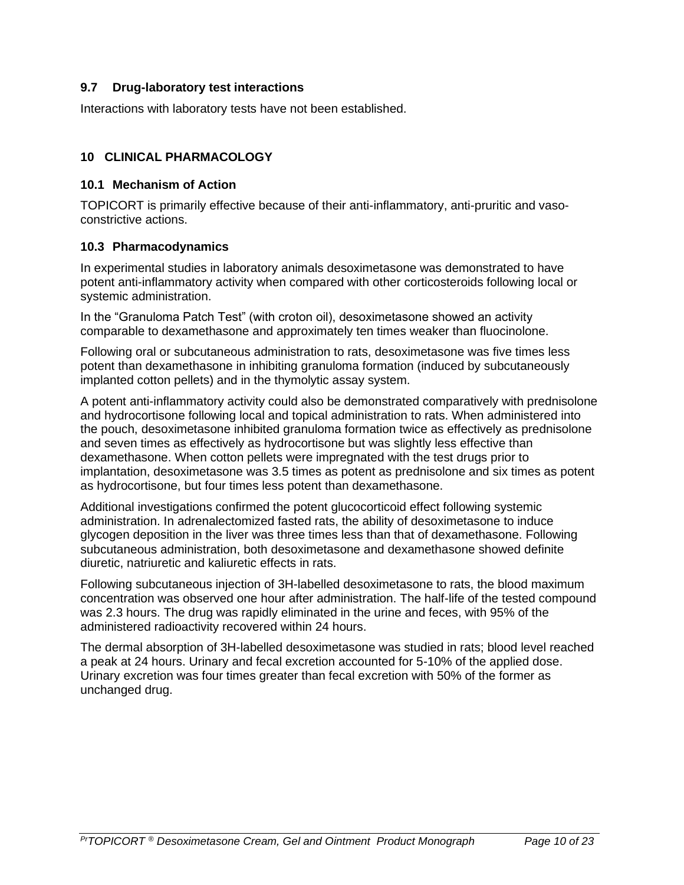### <span id="page-9-0"></span>**9.7 Drug-laboratory test interactions**

Interactions with laboratory tests have not been established.

### <span id="page-9-1"></span>**10 CLINICAL PHARMACOLOGY**

#### <span id="page-9-2"></span>**10.1 Mechanism of Action**

TOPICORT is primarily effective because of their anti-inflammatory, anti-pruritic and vasoconstrictive actions.

#### <span id="page-9-3"></span>**10.3 Pharmacodynamics**

In experimental studies in laboratory animals desoximetasone was demonstrated to have potent anti-inflammatory activity when compared with other corticosteroids following local or systemic administration.

In the "Granuloma Patch Test" (with croton oil), desoximetasone showed an activity comparable to dexamethasone and approximately ten times weaker than fluocinolone.

Following oral or subcutaneous administration to rats, desoximetasone was five times less potent than dexamethasone in inhibiting granuloma formation (induced by subcutaneously implanted cotton pellets) and in the thymolytic assay system.

A potent anti-inflammatory activity could also be demonstrated comparatively with prednisolone and hydrocortisone following local and topical administration to rats. When administered into the pouch, desoximetasone inhibited granuloma formation twice as effectively as prednisolone and seven times as effectively as hydrocortisone but was slightly less effective than dexamethasone. When cotton pellets were impregnated with the test drugs prior to implantation, desoximetasone was 3.5 times as potent as prednisolone and six times as potent as hydrocortisone, but four times less potent than dexamethasone.

Additional investigations confirmed the potent glucocorticoid effect following systemic administration. In adrenalectomized fasted rats, the ability of desoximetasone to induce glycogen deposition in the liver was three times less than that of dexamethasone. Following subcutaneous administration, both desoximetasone and dexamethasone showed definite diuretic, natriuretic and kaliuretic effects in rats.

Following subcutaneous injection of 3H-labelled desoximetasone to rats, the blood maximum concentration was observed one hour after administration. The half-life of the tested compound was 2.3 hours. The drug was rapidly eliminated in the urine and feces, with 95% of the administered radioactivity recovered within 24 hours.

The dermal absorption of 3H-labelled desoximetasone was studied in rats; blood level reached a peak at 24 hours. Urinary and fecal excretion accounted for 5-10% of the applied dose. Urinary excretion was four times greater than fecal excretion with 50% of the former as unchanged drug.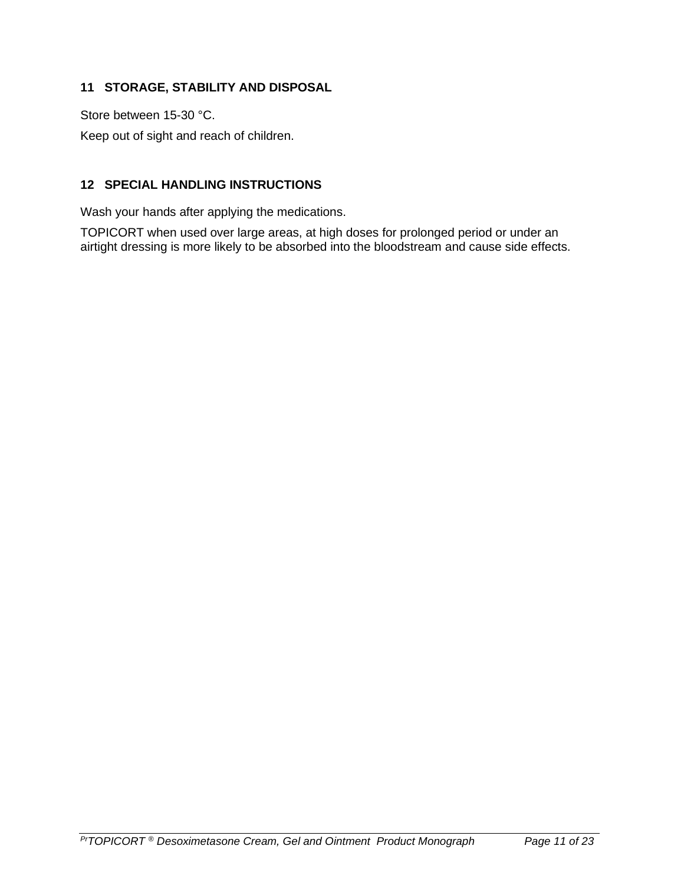# <span id="page-10-0"></span>**11 STORAGE, STABILITY AND DISPOSAL**

Store between 15-30 °C.

Keep out of sight and reach of children.

# <span id="page-10-1"></span>**12 SPECIAL HANDLING INSTRUCTIONS**

Wash your hands after applying the medications.

TOPICORT when used over large areas, at high doses for prolonged period or under an airtight dressing is more likely to be absorbed into the bloodstream and cause side effects.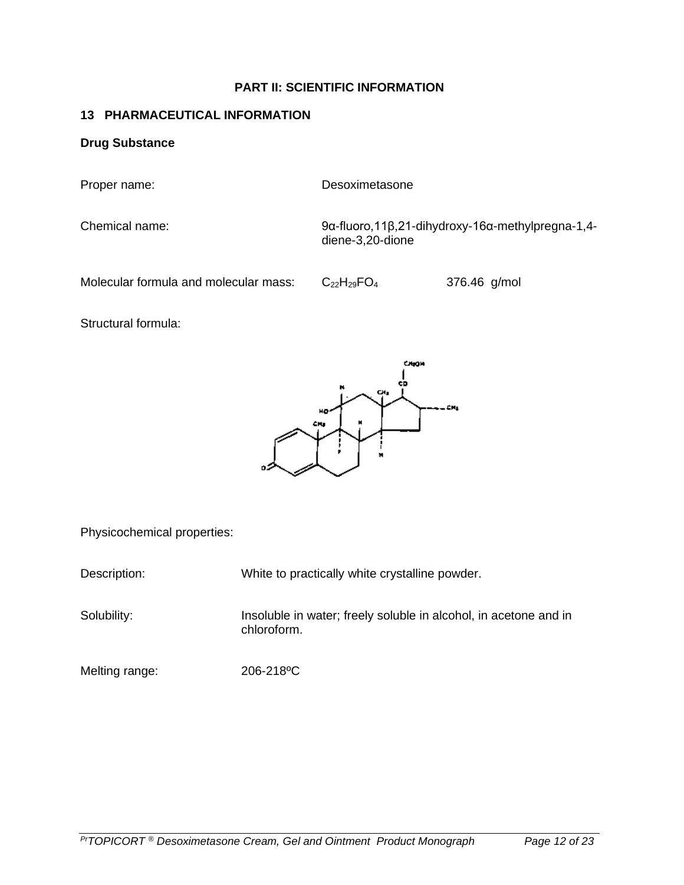### **PART II: SCIENTIFIC INFORMATION**

### <span id="page-11-1"></span><span id="page-11-0"></span>**13 PHARMACEUTICAL INFORMATION**

#### **Drug Substance**

Proper name: Desoximetasone

Chemical name: 9α-fluoro,11β,21-dihydroxy-16α-methylpregna-1,4 diene-3,20-dione

Molecular formula and molecular mass:  $C_{22}H_{29}FO_4$  376.46 g/mol

Structural formula:



Physicochemical properties:

Description: White to practically white crystalline powder.

Solubility: Insoluble in water; freely soluble in alcohol, in acetone and in chloroform.

Melting range: 206-218 °C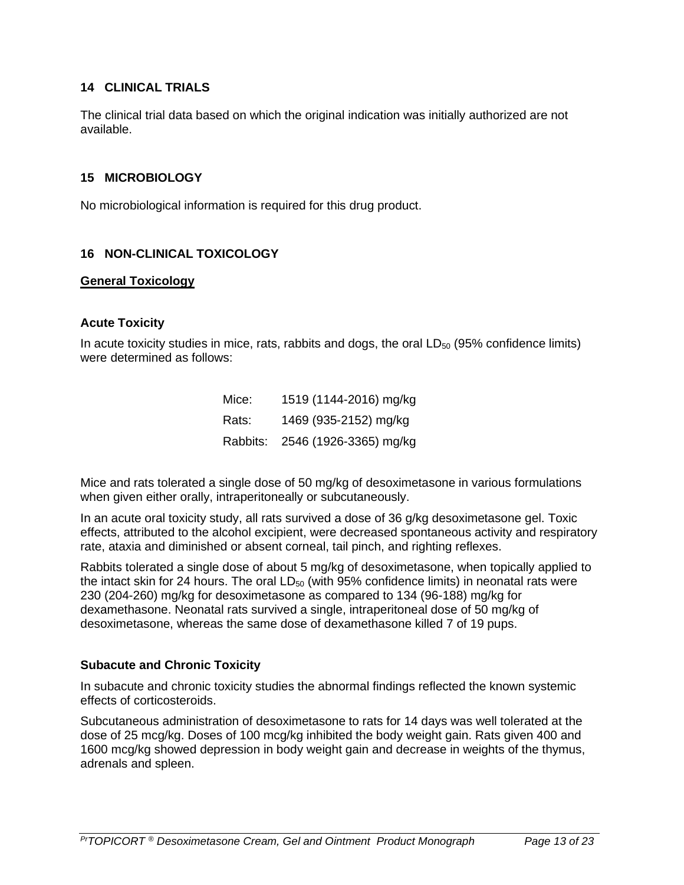### <span id="page-12-0"></span>**14 CLINICAL TRIALS**

The clinical trial data based on which the original indication was initially authorized are not available.

#### <span id="page-12-1"></span>**15 MICROBIOLOGY**

No microbiological information is required for this drug product.

### <span id="page-12-2"></span>**16 NON-CLINICAL TOXICOLOGY**

#### **General Toxicology**

#### **Acute Toxicity**

In acute toxicity studies in mice, rats, rabbits and dogs, the oral  $LD_{50}$  (95% confidence limits) were determined as follows:

| Mice:    | 1519 (1144-2016) mg/kg |
|----------|------------------------|
| Rats:    | 1469 (935-2152) mg/kg  |
| Rabbits: | 2546 (1926-3365) mg/kg |

Mice and rats tolerated a single dose of 50 mg/kg of desoximetasone in various formulations when given either orally, intraperitoneally or subcutaneously.

In an acute oral toxicity study, all rats survived a dose of 36 g/kg desoximetasone gel. Toxic effects, attributed to the alcohol excipient, were decreased spontaneous activity and respiratory rate, ataxia and diminished or absent corneal, tail pinch, and righting reflexes.

Rabbits tolerated a single dose of about 5 mg/kg of desoximetasone, when topically applied to the intact skin for 24 hours. The oral  $LD_{50}$  (with 95% confidence limits) in neonatal rats were 230 (204-260) mg/kg for desoximetasone as compared to 134 (96-188) mg/kg for dexamethasone. Neonatal rats survived a single, intraperitoneal dose of 50 mg/kg of desoximetasone, whereas the same dose of dexamethasone killed 7 of 19 pups.

#### **Subacute and Chronic Toxicity**

In subacute and chronic toxicity studies the abnormal findings reflected the known systemic effects of corticosteroids.

Subcutaneous administration of desoximetasone to rats for 14 days was well tolerated at the dose of 25 mcg/kg. Doses of 100 mcg/kg inhibited the body weight gain. Rats given 400 and 1600 mcg/kg showed depression in body weight gain and decrease in weights of the thymus, adrenals and spleen.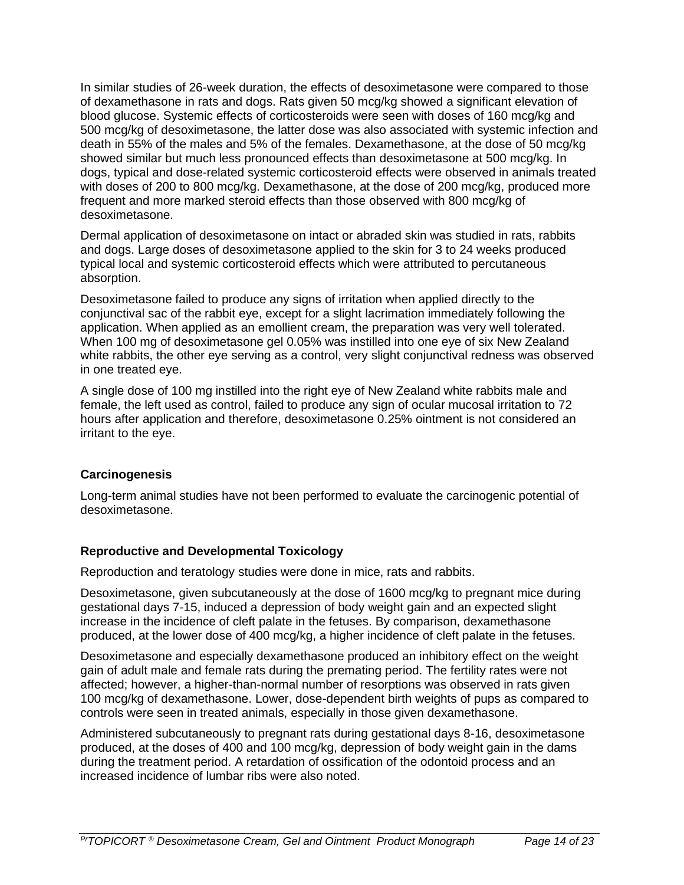In similar studies of 26-week duration, the effects of desoximetasone were compared to those of dexamethasone in rats and dogs. Rats given 50 mcg/kg showed a significant elevation of blood glucose. Systemic effects of corticosteroids were seen with doses of 160 mcg/kg and 500 mcg/kg of desoximetasone, the latter dose was also associated with systemic infection and death in 55% of the males and 5% of the females. Dexamethasone, at the dose of 50 mcg/kg showed similar but much less pronounced effects than desoximetasone at 500 mcg/kg. In dogs, typical and dose-related systemic corticosteroid effects were observed in animals treated with doses of 200 to 800 mcg/kg. Dexamethasone, at the dose of 200 mcg/kg, produced more frequent and more marked steroid effects than those observed with 800 mcg/kg of desoximetasone.

Dermal application of desoximetasone on intact or abraded skin was studied in rats, rabbits and dogs. Large doses of desoximetasone applied to the skin for 3 to 24 weeks produced typical local and systemic corticosteroid effects which were attributed to percutaneous absorption.

Desoximetasone failed to produce any signs of irritation when applied directly to the conjunctival sac of the rabbit eye, except for a slight lacrimation immediately following the application. When applied as an emollient cream, the preparation was very well tolerated. When 100 mg of desoximetasone gel 0.05% was instilled into one eye of six New Zealand white rabbits, the other eye serving as a control, very slight conjunctival redness was observed in one treated eye.

A single dose of 100 mg instilled into the right eye of New Zealand white rabbits male and female, the left used as control, failed to produce any sign of ocular mucosal irritation to 72 hours after application and therefore, desoximetasone 0.25% ointment is not considered an irritant to the eye.

# **Carcinogenesis**

Long-term animal studies have not been performed to evaluate the carcinogenic potential of desoximetasone.

# **Reproductive and Developmental Toxicology**

Reproduction and teratology studies were done in mice, rats and rabbits.

Desoximetasone, given subcutaneously at the dose of 1600 mcg/kg to pregnant mice during gestational days 7-15, induced a depression of body weight gain and an expected slight increase in the incidence of cleft palate in the fetuses. By comparison, dexamethasone produced, at the lower dose of 400 mcg/kg, a higher incidence of cleft palate in the fetuses.

Desoximetasone and especially dexamethasone produced an inhibitory effect on the weight gain of adult male and female rats during the premating period. The fertility rates were not affected; however, a higher-than-normal number of resorptions was observed in rats given 100 mcg/kg of dexamethasone. Lower, dose-dependent birth weights of pups as compared to controls were seen in treated animals, especially in those given dexamethasone.

Administered subcutaneously to pregnant rats during gestational days 8-16, desoximetasone produced, at the doses of 400 and 100 mcg/kg, depression of body weight gain in the dams during the treatment period. A retardation of ossification of the odontoid process and an increased incidence of lumbar ribs were also noted.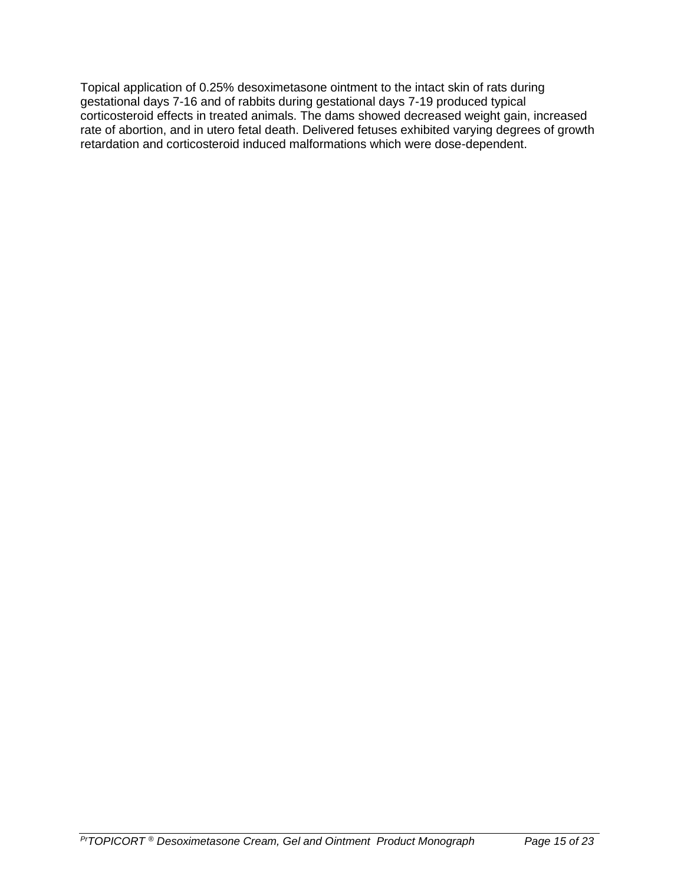Topical application of 0.25% desoximetasone ointment to the intact skin of rats during gestational days 7-16 and of rabbits during gestational days 7-19 produced typical corticosteroid effects in treated animals. The dams showed decreased weight gain, increased rate of abortion, and in utero fetal death. Delivered fetuses exhibited varying degrees of growth retardation and corticosteroid induced malformations which were dose-dependent.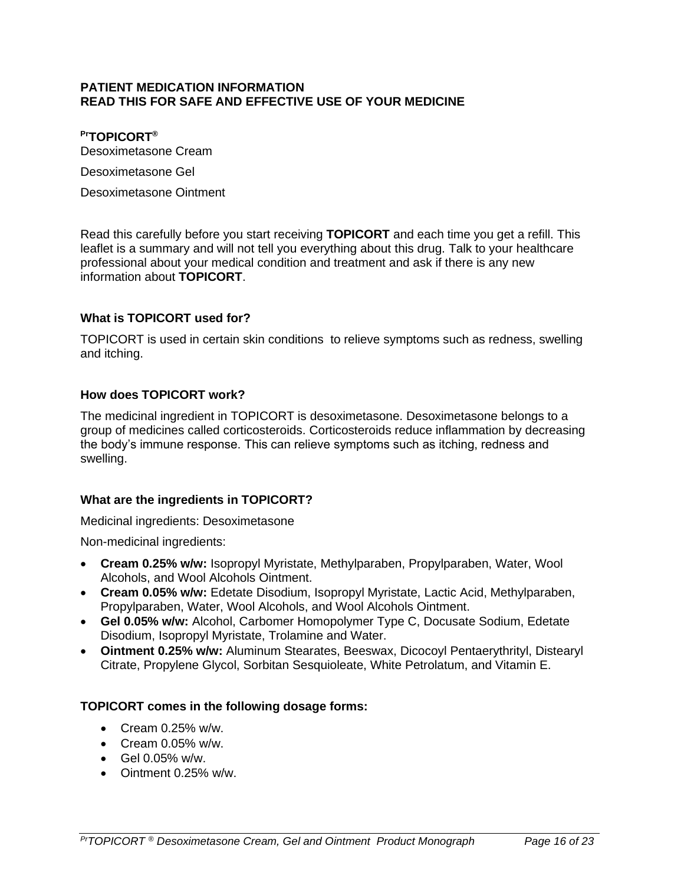#### <span id="page-15-0"></span>**PATIENT MEDICATION INFORMATION READ THIS FOR SAFE AND EFFECTIVE USE OF YOUR MEDICINE**

### **PrTOPICORT®**

Desoximetasone Cream

Desoximetasone Gel

Desoximetasone Ointment

Read this carefully before you start receiving **TOPICORT** and each time you get a refill. This leaflet is a summary and will not tell you everything about this drug. Talk to your healthcare professional about your medical condition and treatment and ask if there is any new information about **TOPICORT**.

### **What is TOPICORT used for?**

TOPICORT is used in certain skin conditions to relieve symptoms such as redness, swelling and itching.

#### **How does TOPICORT work?**

The medicinal ingredient in TOPICORT is desoximetasone. Desoximetasone belongs to a group of medicines called corticosteroids. Corticosteroids reduce inflammation by decreasing the body's immune response. This can relieve symptoms such as itching, redness and swelling.

#### **What are the ingredients in TOPICORT?**

Medicinal ingredients: Desoximetasone

Non-medicinal ingredients:

- **Cream 0.25% w/w:** Isopropyl Myristate, Methylparaben, Propylparaben, Water, Wool Alcohols, and Wool Alcohols Ointment.
- **Cream 0.05% w/w:** Edetate Disodium, Isopropyl Myristate, Lactic Acid, Methylparaben, Propylparaben, Water, Wool Alcohols, and Wool Alcohols Ointment.
- **Gel 0.05% w/w:** Alcohol, Carbomer Homopolymer Type C, Docusate Sodium, Edetate Disodium, Isopropyl Myristate, Trolamine and Water.
- **Ointment 0.25% w/w:** Aluminum Stearates, Beeswax, Dicocoyl Pentaerythrityl, Distearyl Citrate, Propylene Glycol, Sorbitan Sesquioleate, White Petrolatum, and Vitamin E.

#### **TOPICORT comes in the following dosage forms:**

- Cream  $0.25\%$  w/w.
- Cream 0.05% w/w.
- Gel 0.05% w/w.
- Ointment 0.25% w/w.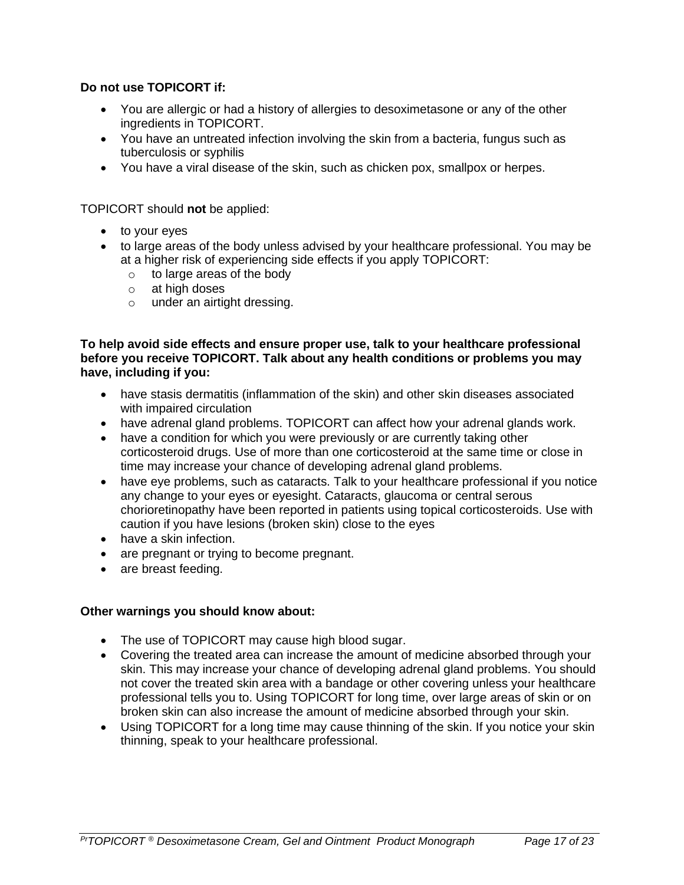### **Do not use TOPICORT if:**

- You are allergic or had a history of allergies to desoximetasone or any of the other ingredients in TOPICORT.
- You have an untreated infection involving the skin from a bacteria, fungus such as tuberculosis or syphilis
- You have a viral disease of the skin, such as chicken pox, smallpox or herpes.

TOPICORT should **not** be applied:

- to your eyes
- to large areas of the body unless advised by your healthcare professional. You may be at a higher risk of experiencing side effects if you apply TOPICORT:
	- o to large areas of the body
	- o at high doses
	- o under an airtight dressing.

#### **To help avoid side effects and ensure proper use, talk to your healthcare professional before you receive TOPICORT. Talk about any health conditions or problems you may have, including if you:**

- have stasis dermatitis (inflammation of the skin) and other skin diseases associated with impaired circulation
- have adrenal gland problems. TOPICORT can affect how your adrenal glands work.
- have a condition for which you were previously or are currently taking other corticosteroid drugs. Use of more than one corticosteroid at the same time or close in time may increase your chance of developing adrenal gland problems.
- have eye problems, such as cataracts. Talk to your healthcare professional if you notice any change to your eyes or eyesight. Cataracts, glaucoma or central serous chorioretinopathy have been reported in patients using topical corticosteroids. Use with caution if you have lesions (broken skin) close to the eyes
- have a skin infection.
- are pregnant or trying to become pregnant.
- are breast feeding.

#### **Other warnings you should know about:**

- The use of TOPICORT may cause high blood sugar.
- Covering the treated area can increase the amount of medicine absorbed through your skin. This may increase your chance of developing adrenal gland problems. You should not cover the treated skin area with a bandage or other covering unless your healthcare professional tells you to. Using TOPICORT for long time, over large areas of skin or on broken skin can also increase the amount of medicine absorbed through your skin.
- Using TOPICORT for a long time may cause thinning of the skin. If you notice your skin thinning, speak to your healthcare professional.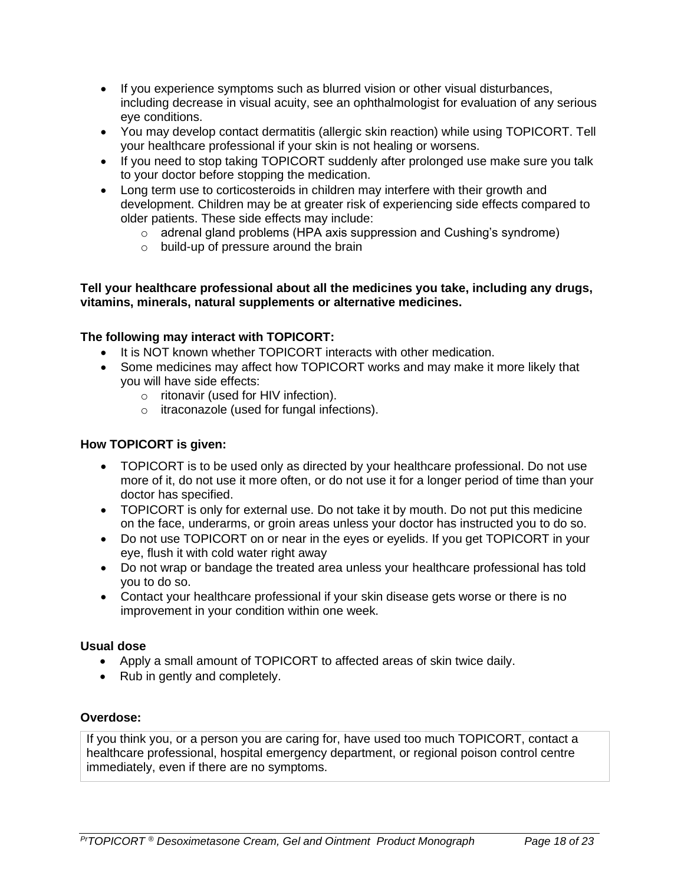- If you experience symptoms such as blurred vision or other visual disturbances, including decrease in visual acuity, see an ophthalmologist for evaluation of any serious eye conditions.
- You may develop contact dermatitis (allergic skin reaction) while using TOPICORT. Tell your healthcare professional if your skin is not healing or worsens.
- If you need to stop taking TOPICORT suddenly after prolonged use make sure you talk to your doctor before stopping the medication.
- Long term use to corticosteroids in children may interfere with their growth and development. Children may be at greater risk of experiencing side effects compared to older patients. These side effects may include:
	- $\circ$  adrenal gland problems (HPA axis suppression and Cushing's syndrome)
	- o build-up of pressure around the brain

#### **Tell your healthcare professional about all the medicines you take, including any drugs, vitamins, minerals, natural supplements or alternative medicines.**

### **The following may interact with TOPICORT:**

- It is NOT known whether TOPICORT interacts with other medication.
- Some medicines may affect how TOPICORT works and may make it more likely that you will have side effects:
	- o ritonavir (used for HIV infection).
	- o itraconazole (used for fungal infections).

#### **How TOPICORT is given:**

- TOPICORT is to be used only as directed by your healthcare professional. Do not use more of it, do not use it more often, or do not use it for a longer period of time than your doctor has specified.
- TOPICORT is only for external use. Do not take it by mouth. Do not put this medicine on the face, underarms, or groin areas unless your doctor has instructed you to do so.
- Do not use TOPICORT on or near in the eyes or eyelids. If you get TOPICORT in your eye, flush it with cold water right away
- Do not wrap or bandage the treated area unless your healthcare professional has told you to do so.
- Contact your healthcare professional if your skin disease gets worse or there is no improvement in your condition within one week.

#### **Usual dose**

- Apply a small amount of TOPICORT to affected areas of skin twice daily.
- Rub in gently and completely.

#### **Overdose:**

If you think you, or a person you are caring for, have used too much TOPICORT, contact a healthcare professional, hospital emergency department, or regional poison control centre immediately, even if there are no symptoms.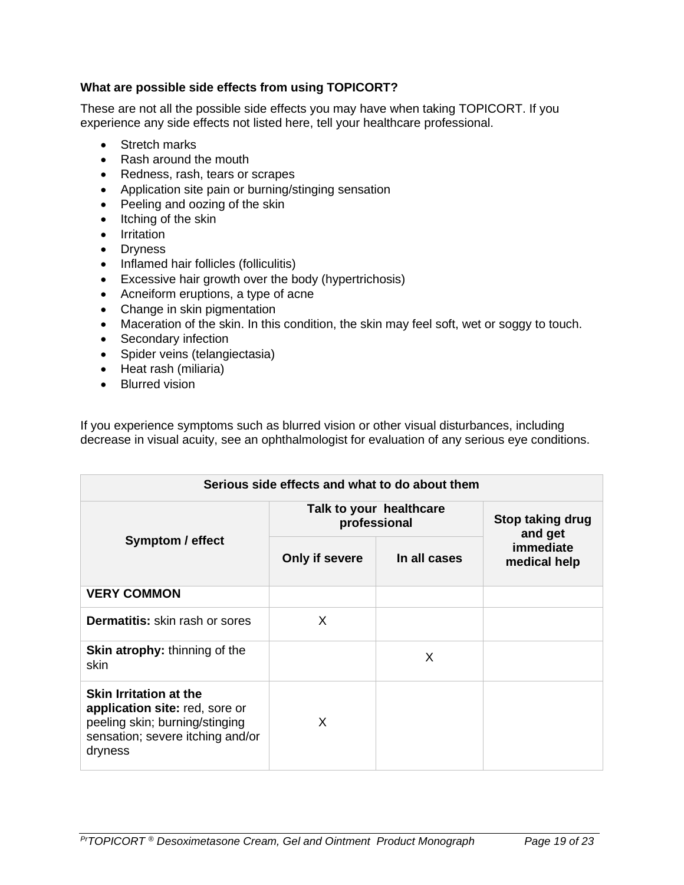### **What are possible side effects from using TOPICORT?**

These are not all the possible side effects you may have when taking TOPICORT. If you experience any side effects not listed here, tell your healthcare professional.

- Stretch marks
- Rash around the mouth
- Redness, rash, tears or scrapes
- Application site pain or burning/stinging sensation
- Peeling and oozing of the skin
- Itching of the skin
- Irritation
- Dryness
- Inflamed hair follicles (folliculitis)
- Excessive hair growth over the body (hypertrichosis)
- Acneiform eruptions, a type of acne
- Change in skin pigmentation
- Maceration of the skin. In this condition, the skin may feel soft, wet or soggy to touch.
- Secondary infection
- Spider veins (telangiectasia)
- Heat rash (miliaria)
- Blurred vision

If you experience symptoms such as blurred vision or other visual disturbances, including decrease in visual acuity, see an ophthalmologist for evaluation of any serious eye conditions.

| Serious side effects and what to do about them                                                                                                   |                                         |              |                             |  |  |
|--------------------------------------------------------------------------------------------------------------------------------------------------|-----------------------------------------|--------------|-----------------------------|--|--|
| Symptom / effect                                                                                                                                 | Talk to your healthcare<br>professional |              | Stop taking drug<br>and get |  |  |
|                                                                                                                                                  | Only if severe                          | In all cases | immediate<br>medical help   |  |  |
| <b>VERY COMMON</b>                                                                                                                               |                                         |              |                             |  |  |
| <b>Dermatitis:</b> skin rash or sores                                                                                                            | $\times$                                |              |                             |  |  |
| <b>Skin atrophy:</b> thinning of the<br>skin                                                                                                     |                                         | X            |                             |  |  |
| <b>Skin Irritation at the</b><br>application site: red, sore or<br>peeling skin; burning/stinging<br>sensation; severe itching and/or<br>dryness | X                                       |              |                             |  |  |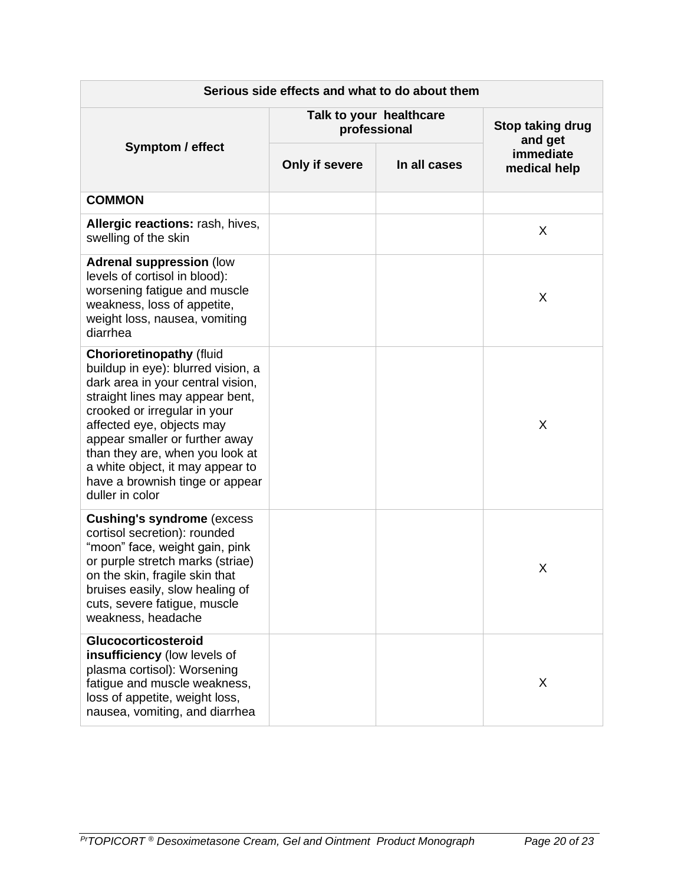| Serious side effects and what to do about them                                                                                                                                                                                                                                                                                                                            |                                         |              |                             |  |
|---------------------------------------------------------------------------------------------------------------------------------------------------------------------------------------------------------------------------------------------------------------------------------------------------------------------------------------------------------------------------|-----------------------------------------|--------------|-----------------------------|--|
|                                                                                                                                                                                                                                                                                                                                                                           | Talk to your healthcare<br>professional |              | Stop taking drug<br>and get |  |
| <b>Symptom / effect</b>                                                                                                                                                                                                                                                                                                                                                   | Only if severe                          | In all cases | immediate<br>medical help   |  |
| <b>COMMON</b>                                                                                                                                                                                                                                                                                                                                                             |                                         |              |                             |  |
| Allergic reactions: rash, hives,<br>swelling of the skin                                                                                                                                                                                                                                                                                                                  |                                         |              | X                           |  |
| <b>Adrenal suppression (low</b><br>levels of cortisol in blood):<br>worsening fatigue and muscle<br>weakness, loss of appetite,<br>weight loss, nausea, vomiting<br>diarrhea                                                                                                                                                                                              |                                         |              | X                           |  |
| <b>Chorioretinopathy (fluid</b><br>buildup in eye): blurred vision, a<br>dark area in your central vision,<br>straight lines may appear bent,<br>crooked or irregular in your<br>affected eye, objects may<br>appear smaller or further away<br>than they are, when you look at<br>a white object, it may appear to<br>have a brownish tinge or appear<br>duller in color |                                         |              | X                           |  |
| <b>Cushing's syndrome (excess)</b><br>cortisol secretion): rounded<br>"moon" face, weight gain, pink<br>or purple stretch marks (striae)<br>on the skin, fragile skin that<br>bruises easily, slow healing of<br>cuts, severe fatigue, muscle<br>weakness, headache                                                                                                       |                                         |              | Χ                           |  |
| Glucocorticosteroid<br>insufficiency (low levels of<br>plasma cortisol): Worsening<br>fatigue and muscle weakness,<br>loss of appetite, weight loss,<br>nausea, vomiting, and diarrhea                                                                                                                                                                                    |                                         |              | X                           |  |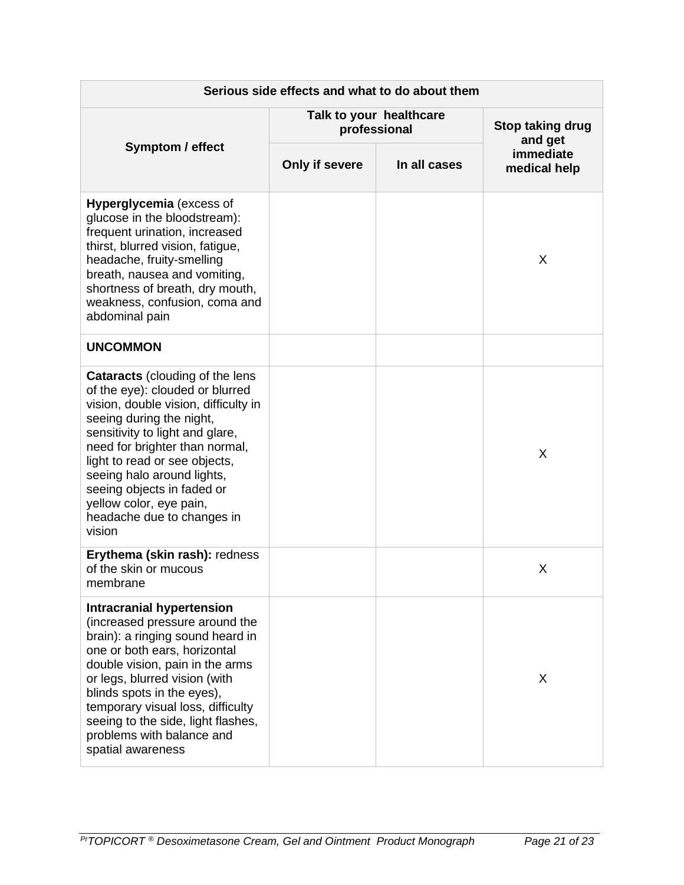| Serious side effects and what to do about them                                                                                                                                                                                                                                                                                                                                     |                                         |              |                             |  |
|------------------------------------------------------------------------------------------------------------------------------------------------------------------------------------------------------------------------------------------------------------------------------------------------------------------------------------------------------------------------------------|-----------------------------------------|--------------|-----------------------------|--|
|                                                                                                                                                                                                                                                                                                                                                                                    | Talk to your healthcare<br>professional |              | Stop taking drug<br>and get |  |
| <b>Symptom / effect</b>                                                                                                                                                                                                                                                                                                                                                            | Only if severe                          | In all cases | immediate<br>medical help   |  |
| <b>Hyperglycemia</b> (excess of<br>glucose in the bloodstream):<br>frequent urination, increased<br>thirst, blurred vision, fatigue,<br>headache, fruity-smelling<br>breath, nausea and vomiting,<br>shortness of breath, dry mouth,<br>weakness, confusion, coma and<br>abdominal pain                                                                                            |                                         |              | X                           |  |
| <b>UNCOMMON</b>                                                                                                                                                                                                                                                                                                                                                                    |                                         |              |                             |  |
| <b>Cataracts</b> (clouding of the lens<br>of the eye): clouded or blurred<br>vision, double vision, difficulty in<br>seeing during the night,<br>sensitivity to light and glare,<br>need for brighter than normal,<br>light to read or see objects,<br>seeing halo around lights,<br>seeing objects in faded or<br>yellow color, eye pain,<br>headache due to changes in<br>vision |                                         |              | X                           |  |
| Erythema (skin rash): redness<br>of the skin or mucous<br>membrane                                                                                                                                                                                                                                                                                                                 |                                         |              | X                           |  |
| <b>Intracranial hypertension</b><br>(increased pressure around the<br>brain): a ringing sound heard in<br>one or both ears, horizontal<br>double vision, pain in the arms<br>or legs, blurred vision (with<br>blinds spots in the eyes),<br>temporary visual loss, difficulty<br>seeing to the side, light flashes,<br>problems with balance and<br>spatial awareness              |                                         |              | X                           |  |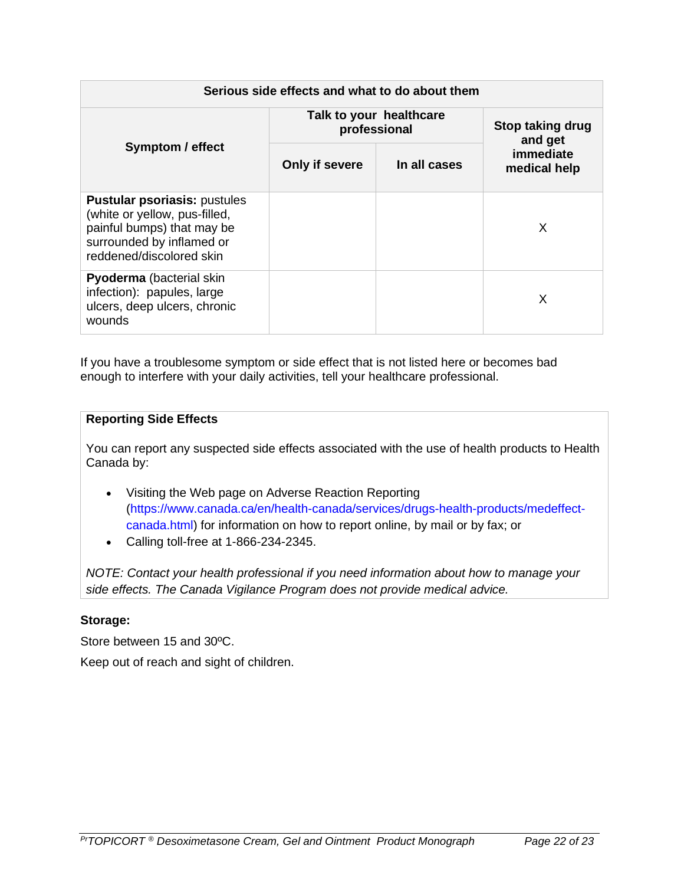| Serious side effects and what to do about them                                                                                                              |                                         |              |                             |
|-------------------------------------------------------------------------------------------------------------------------------------------------------------|-----------------------------------------|--------------|-----------------------------|
| <b>Symptom / effect</b>                                                                                                                                     | Talk to your healthcare<br>professional |              | Stop taking drug<br>and get |
|                                                                                                                                                             | Only if severe                          | In all cases | immediate<br>medical help   |
| <b>Pustular psoriasis: pustules</b><br>(white or yellow, pus-filled,<br>painful bumps) that may be<br>surrounded by inflamed or<br>reddened/discolored skin |                                         |              | X                           |
| <b>Pyoderma</b> (bacterial skin<br>infection): papules, large<br>ulcers, deep ulcers, chronic<br>wounds                                                     |                                         |              | X                           |

If you have a troublesome symptom or side effect that is not listed here or becomes bad enough to interfere with your daily activities, tell your healthcare professional.

### **Reporting Side Effects**

You can report any suspected side effects associated with the use of health products to Health Canada by:

- Visiting the Web page on Adverse Reaction Reporting [\(https://www.canada.ca/en/health-canada/services/drugs-health-products/medeffect](https://www.canada.ca/en/health-canada/services/drugs-health-products/medeffect-canada.html)[canada.html\)](https://www.canada.ca/en/health-canada/services/drugs-health-products/medeffect-canada.html) for information on how to report online, by mail or by fax; or
- Calling toll-free at 1-866-234-2345.

*NOTE: Contact your health professional if you need information about how to manage your side effects. The Canada Vigilance Program does not provide medical advice.*

# **Storage:**

Store between 15 and 30ºC. Keep out of reach and sight of children.